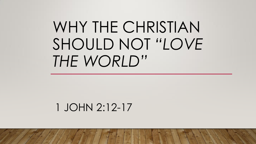# WHY THE CHRISTIAN SHOULD NOT *"LOVE THE WORLD"*

# 1 JOHN 2:12-17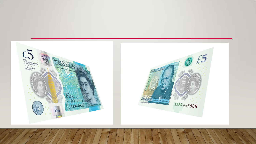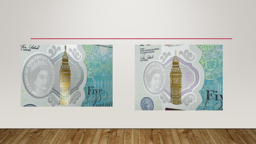

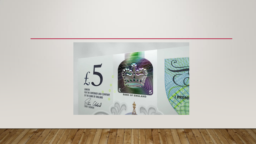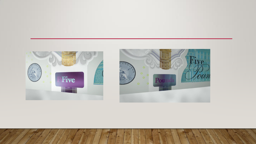

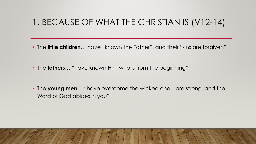#### 1. BECAUSE OF WHAT THE CHRISTIAN IS (V12-14)

• The **little children**… have "known the Father", and their "sins are forgiven"

- The **fathers**… "have known Him who is from the beginning"
- The **young men**… "have overcome the wicked one…are strong, and the Word of God abides in you"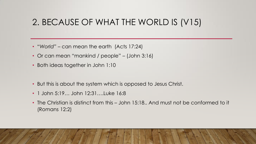#### 2. BECAUSE OF WHAT THE WORLD IS (V15)

- "*World"*  can mean the earth (Acts 17:24)
- Or can mean "mankind / people" (John 3:16)
- Both ideas together in John 1:10
- But this is about the system which is opposed to Jesus Christ.
- 1 John 5:19… John 12:31….Luke 16:8
- The Christian is distinct from this John 15:18.. And must not be conformed to it (Romans 12:2)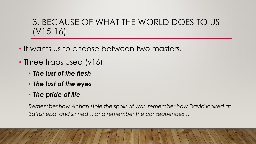### 3. BECAUSE OF WHAT THE WORLD DOES TO US  $(V15-16)$

- It wants us to choose between two masters.
- Three traps used (v16)
	- *The lust of the flesh*
	- *The lust of the eyes*
	- *The pride of life*

*Remember how Achan stole the spoils of war, remember how David looked at Bathsheba, and sinned… and remember the consequences…*